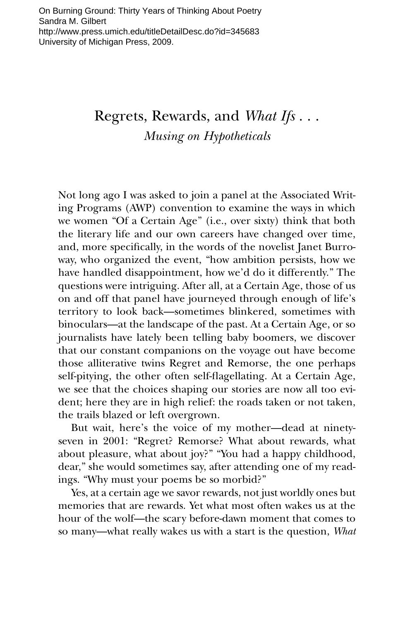## Regrets, Rewards, and *What Ifs* . . . *Musing on Hypotheticals*

Not long ago I was asked to join a panel at the Associated Writing Programs (AWP) convention to examine the ways in which we women "Of a Certain Age" (i.e., over sixty) think that both the literary life and our own careers have changed over time, and, more specifically, in the words of the novelist Janet Burroway, who organized the event, "how ambition persists, how we have handled disappointment, how we'd do it differently." The questions were intriguing. After all, at a Certain Age, those of us on and off that panel have journeyed through enough of life's territory to look back—sometimes blinkered, sometimes with binoculars—at the landscape of the past. At a Certain Age, or so journalists have lately been telling baby boomers, we discover that our constant companions on the voyage out have become those alliterative twins Regret and Remorse, the one perhaps self-pitying, the other often self-flagellating. At a Certain Age, we see that the choices shaping our stories are now all too evident; here they are in high relief: the roads taken or not taken, the trails blazed or left overgrown.

But wait, here's the voice of my mother—dead at ninetyseven in 2001: "Regret? Remorse? What about rewards, what about pleasure, what about joy?" "You had a happy childhood, dear," she would sometimes say, after attending one of my readings. "Why must your poems be so morbid?"

Yes, at a certain age we savor rewards, not just worldly ones but memories that are rewards. Yet what most often wakes us at the hour of the wolf—the scary before-dawn moment that comes to so many—what really wakes us with a start is the question, *What*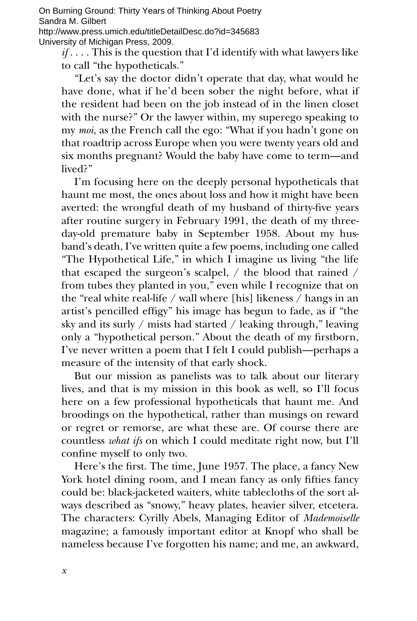On Burning Ground: Thirty Years of Thinking About Poetry Sandra M. Gilbert http://www.press.umich.edu/titleDetailDesc.do?id=345683 University of Michigan Press, 2009.

*if* . . . . This is the question that I'd identify with what lawyers like to call "the hypotheticals."

"Let's say the doctor didn't operate that day, what would he have done, what if he'd been sober the night before, what if the resident had been on the job instead of in the linen closet with the nurse?" Or the lawyer within, my superego speaking to my *moi,* as the French call the ego: "What if you hadn't gone on that roadtrip across Europe when you were twenty years old and six months pregnant? Would the baby have come to term—and lived?"

I'm focusing here on the deeply personal hypotheticals that haunt me most, the ones about loss and how it might have been averted: the wrongful death of my husband of thirty-five years after routine surgery in February 1991, the death of my threeday-old premature baby in September 1958. About my husband's death, I've written quite a few poems, including one called "The Hypothetical Life," in which I imagine us living "the life that escaped the surgeon's scalpel, / the blood that rained / from tubes they planted in you," even while I recognize that on the "real white real-life / wall where [his] likeness / hangs in an artist's pencilled effigy" his image has begun to fade, as if "the sky and its surly / mists had started / leaking through," leaving only a "hypothetical person." About the death of my firstborn, I've never written a poem that I felt I could publish—perhaps a measure of the intensity of that early shock.

But our mission as panelists was to talk about our literary lives, and that is my mission in this book as well, so I'll focus here on a few professional hypotheticals that haunt me. And broodings on the hypothetical, rather than musings on reward or regret or remorse, are what these are. Of course there are countless *what ifs* on which I could meditate right now, but I'll confine myself to only two.

Here's the first. The time, June 1957. The place, a fancy New York hotel dining room, and I mean fancy as only fifties fancy could be: black-jacketed waiters, white tablecloths of the sort always described as "snowy," heavy plates, heavier silver, etcetera. The characters: Cyrilly Abels, Managing Editor of *Mademoiselle* magazine; a famously important editor at Knopf who shall be nameless because I've forgotten his name; and me, an awkward,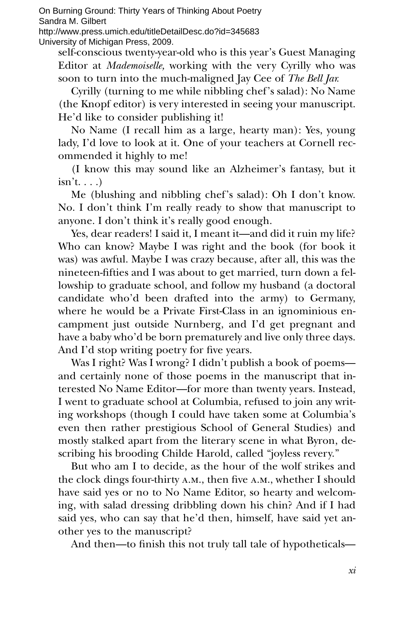On Burning Ground: Thirty Years of Thinking About Poetry Sandra M. Gilbert

http://www.press.umich.edu/titleDetailDesc.do?id=345683 University of Michigan Press, 2009.

self-conscious twenty-year-old who is this year's Guest Managing Editor at *Mademoiselle,* working with the very Cyrilly who was soon to turn into the much-maligned Jay Cee of *The Bell Jar.*

Cyrilly (turning to me while nibbling chef's salad): No Name (the Knopf editor) is very interested in seeing your manuscript. He'd like to consider publishing it!

No Name (I recall him as a large, hearty man): Yes, young lady, I'd love to look at it. One of your teachers at Cornell recommended it highly to me!

(I know this may sound like an Alzheimer's fantasy, but it  $isn't...$ 

Me (blushing and nibbling chef's salad): Oh I don't know. No. I don't think I'm really ready to show that manuscript to anyone. I don't think it's really good enough.

Yes, dear readers! I said it, I meant it—and did it ruin my life? Who can know? Maybe I was right and the book (for book it was) was awful. Maybe I was crazy because, after all, this was the nineteen-fifties and I was about to get married, turn down a fellowship to graduate school, and follow my husband (a doctoral candidate who'd been drafted into the army) to Germany, where he would be a Private First-Class in an ignominious encampment just outside Nurnberg, and I'd get pregnant and have a baby who'd be born prematurely and live only three days. And I'd stop writing poetry for five years.

Was I right? Was I wrong? I didn't publish a book of poems and certainly none of those poems in the manuscript that interested No Name Editor—for more than twenty years. Instead, I went to graduate school at Columbia, refused to join any writing workshops (though I could have taken some at Columbia's even then rather prestigious School of General Studies) and mostly stalked apart from the literary scene in what Byron, describing his brooding Childe Harold, called "joyless revery."

But who am I to decide, as the hour of the wolf strikes and the clock dings four-thirty a.m., then five a.m., whether I should have said yes or no to No Name Editor, so hearty and welcoming, with salad dressing dribbling down his chin? And if I had said yes, who can say that he'd then, himself, have said yet another yes to the manuscript?

And then—to finish this not truly tall tale of hypotheticals—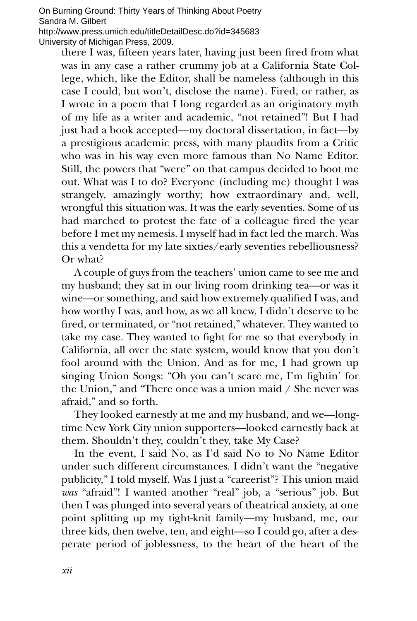On Burning Ground: Thirty Years of Thinking About Poetry Sandra M. Gilbert

http://www.press.umich.edu/titleDetailDesc.do?id=345683 University of Michigan Press, 2009.

there I was, fifteen years later, having just been fired from what was in any case a rather crummy job at a California State College, which, like the Editor, shall be nameless (although in this case I could, but won't, disclose the name). Fired, or rather, as I wrote in a poem that I long regarded as an originatory myth of my life as a writer and academic, "not retained"! But I had just had a book accepted—my doctoral dissertation, in fact—by a prestigious academic press, with many plaudits from a Critic who was in his way even more famous than No Name Editor. Still, the powers that "were" on that campus decided to boot me out. What was I to do? Everyone (including me) thought I was strangely, amazingly worthy; how extraordinary and, well, wrongful this situation was. It was the early seventies. Some of us had marched to protest the fate of a colleague fired the year before I met my nemesis. I myself had in fact led the march. Was this a vendetta for my late sixties/early seventies rebelliousness? Or what?

A couple of guys from the teachers' union came to see me and my husband; they sat in our living room drinking tea—or was it wine—or something, and said how extremely qualified I was, and how worthy I was, and how, as we all knew, I didn't deserve to be fired, or terminated, or "not retained," whatever. They wanted to take my case. They wanted to fight for me so that everybody in California, all over the state system, would know that you don't fool around with the Union. And as for me, I had grown up singing Union Songs: "Oh you can't scare me, I'm fightin' for the Union," and "There once was a union maid / She never was afraid," and so forth.

They looked earnestly at me and my husband, and we—longtime New York City union supporters—looked earnestly back at them. Shouldn't they, couldn't they, take My Case?

In the event, I said No, as I'd said No to No Name Editor under such different circumstances. I didn't want the "negative publicity," I told myself. Was I just a "careerist"? This union maid *was* "afraid"! I wanted another "real" job, a "serious" job. But then I was plunged into several years of theatrical anxiety, at one point splitting up my tight-knit family—my husband, me, our three kids, then twelve, ten, and eight—so I could go, after a desperate period of joblessness, to the heart of the heart of the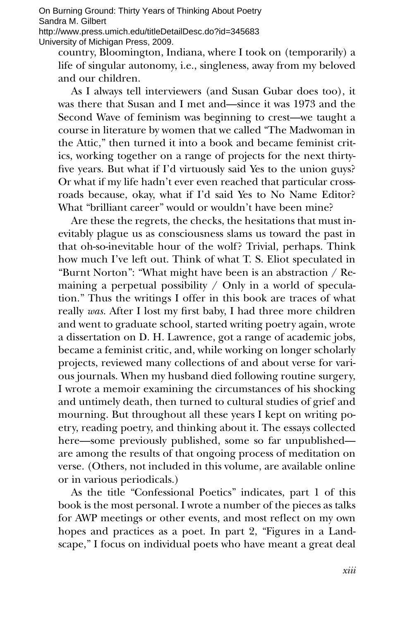On Burning Ground: Thirty Years of Thinking About Poetry Sandra M. Gilbert

http://www.press.umich.edu/titleDetailDesc.do?id=345683 University of Michigan Press, 2009.

country, Bloomington, Indiana, where I took on (temporarily) a life of singular autonomy, i.e., singleness, away from my beloved and our children.

As I always tell interviewers (and Susan Gubar does too), it was there that Susan and I met and—since it was 1973 and the Second Wave of feminism was beginning to crest—we taught a course in literature by women that we called "The Madwoman in the Attic," then turned it into a book and became feminist critics, working together on a range of projects for the next thirtyfive years. But what if I'd virtuously said Yes to the union guys? Or what if my life hadn't ever even reached that particular crossroads because, okay, what if I'd said Yes to No Name Editor? What "brilliant career" would or wouldn't have been mine?

Are these the regrets, the checks, the hesitations that must inevitably plague us as consciousness slams us toward the past in that oh-so-inevitable hour of the wolf? Trivial, perhaps. Think how much I've left out. Think of what T. S. Eliot speculated in "Burnt Norton": "What might have been is an abstraction / Remaining a perpetual possibility  $/$  Only in a world of speculation." Thus the writings I offer in this book are traces of what really *was.* After I lost my first baby, I had three more children and went to graduate school, started writing poetry again, wrote a dissertation on D. H. Lawrence, got a range of academic jobs, became a feminist critic, and, while working on longer scholarly projects, reviewed many collections of and about verse for various journals. When my husband died following routine surgery, I wrote a memoir examining the circumstances of his shocking and untimely death, then turned to cultural studies of grief and mourning. But throughout all these years I kept on writing poetry, reading poetry, and thinking about it. The essays collected here—some previously published, some so far unpublished are among the results of that ongoing process of meditation on verse. (Others, not included in this volume, are available online or in various periodicals.)

As the title "Confessional Poetics" indicates, part 1 of this book is the most personal. I wrote a number of the pieces as talks for AWP meetings or other events, and most reflect on my own hopes and practices as a poet. In part 2, "Figures in a Landscape," I focus on individual poets who have meant a great deal